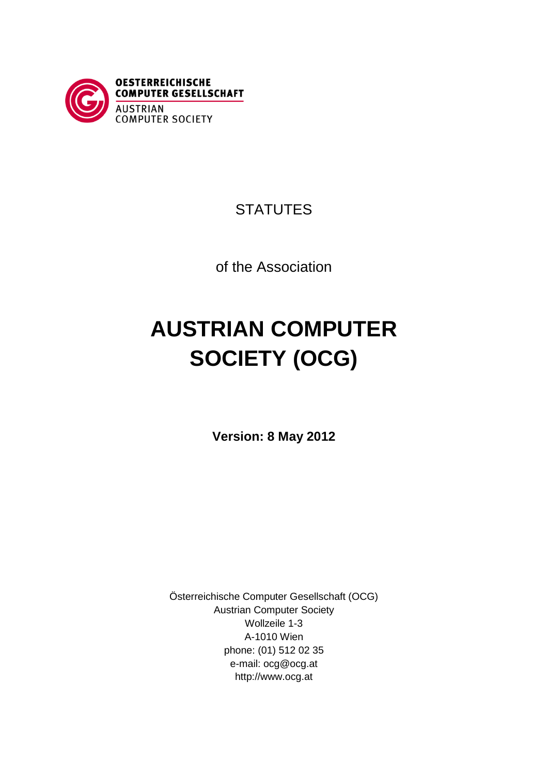

## **STATUTES**

of the Association

# **AUSTRIAN COMPUTER SOCIETY (OCG)**

**Version: 8 May 2012**

Österreichische Computer Gesellschaft (OCG) Austrian Computer Society Wollzeile 1-3 A-1010 Wien phone: (01) 512 02 35 e-mail: ocg@ocg.at http://www.ocg.at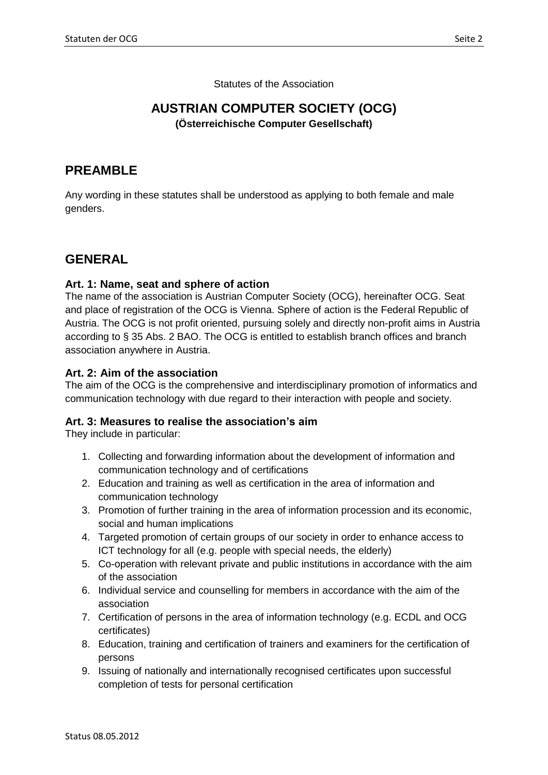Statutes of the Association

## **AUSTRIAN COMPUTER SOCIETY (OCG) (Österreichische Computer Gesellschaft)**

## **PREAMBLE**

Any wording in these statutes shall be understood as applying to both female and male genders.

## **GENERAL**

## **Art. 1: Name, seat and sphere of action**

The name of the association is Austrian Computer Society (OCG), hereinafter OCG. Seat and place of registration of the OCG is Vienna. Sphere of action is the Federal Republic of Austria. The OCG is not profit oriented, pursuing solely and directly non-profit aims in Austria according to § 35 Abs. 2 BAO. The OCG is entitled to establish branch offices and branch association anywhere in Austria.

#### **Art. 2: Aim of the association**

The aim of the OCG is the comprehensive and interdisciplinary promotion of informatics and communication technology with due regard to their interaction with people and society.

#### **Art. 3: Measures to realise the association's aim**

They include in particular:

- 1. Collecting and forwarding information about the development of information and communication technology and of certifications
- 2. Education and training as well as certification in the area of information and communication technology
- 3. Promotion of further training in the area of information procession and its economic, social and human implications
- 4. Targeted promotion of certain groups of our society in order to enhance access to ICT technology for all (e.g. people with special needs, the elderly)
- 5. Co-operation with relevant private and public institutions in accordance with the aim of the association
- 6. Individual service and counselling for members in accordance with the aim of the association
- 7. Certification of persons in the area of information technology (e.g. ECDL and OCG certificates)
- 8. Education, training and certification of trainers and examiners for the certification of persons
- 9. Issuing of nationally and internationally recognised certificates upon successful completion of tests for personal certification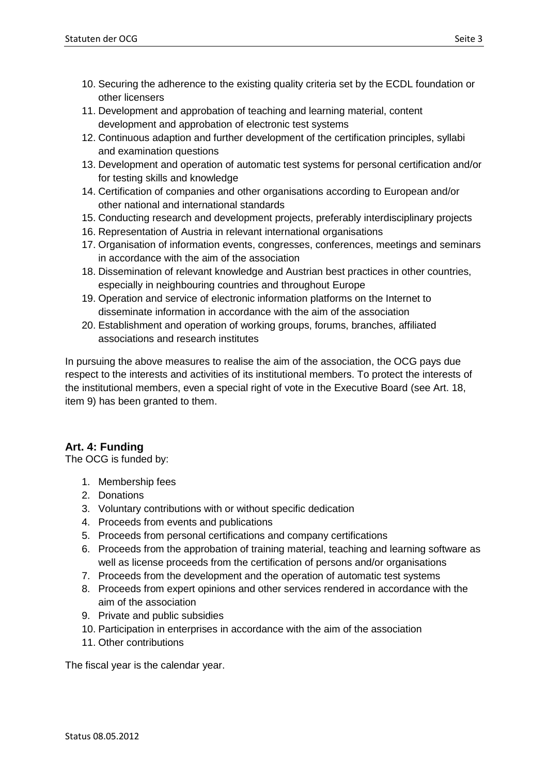- 10. Securing the adherence to the existing quality criteria set by the ECDL foundation or other licensers
- 11. Development and approbation of teaching and learning material, content development and approbation of electronic test systems
- 12. Continuous adaption and further development of the certification principles, syllabi and examination questions
- 13. Development and operation of automatic test systems for personal certification and/or for testing skills and knowledge
- 14. Certification of companies and other organisations according to European and/or other national and international standards
- 15. Conducting research and development projects, preferably interdisciplinary projects
- 16. Representation of Austria in relevant international organisations
- 17. Organisation of information events, congresses, conferences, meetings and seminars in accordance with the aim of the association
- 18. Dissemination of relevant knowledge and Austrian best practices in other countries, especially in neighbouring countries and throughout Europe
- 19. Operation and service of electronic information platforms on the Internet to disseminate information in accordance with the aim of the association
- 20. Establishment and operation of working groups, forums, branches, affiliated associations and research institutes

In pursuing the above measures to realise the aim of the association, the OCG pays due respect to the interests and activities of its institutional members. To protect the interests of the institutional members, even a special right of vote in the Executive Board (see Art. 18, item 9) has been granted to them.

## **Art. 4: Funding**

The OCG is funded by:

- 1. Membership fees
- 2. Donations
- 3. Voluntary contributions with or without specific dedication
- 4. Proceeds from events and publications
- 5. Proceeds from personal certifications and company certifications
- 6. Proceeds from the approbation of training material, teaching and learning software as well as license proceeds from the certification of persons and/or organisations
- 7. Proceeds from the development and the operation of automatic test systems
- 8. Proceeds from expert opinions and other services rendered in accordance with the aim of the association
- 9. Private and public subsidies
- 10. Participation in enterprises in accordance with the aim of the association
- 11. Other contributions

The fiscal year is the calendar year.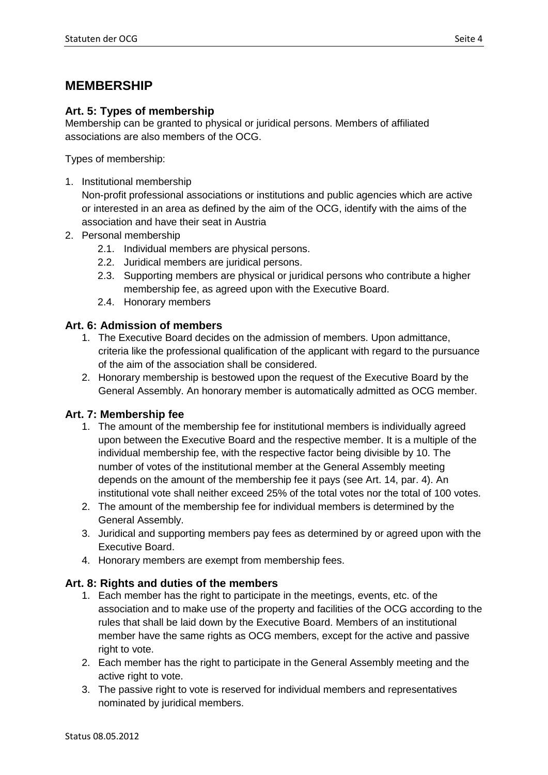## **MEMBERSHIP**

## **Art. 5: Types of membership**

Membership can be granted to physical or juridical persons. Members of affiliated associations are also members of the OCG.

Types of membership:

1. Institutional membership

Non-profit professional associations or institutions and public agencies which are active or interested in an area as defined by the aim of the OCG, identify with the aims of the association and have their seat in Austria

- 2. Personal membership
	- 2.1. Individual members are physical persons.
	- 2.2. Juridical members are juridical persons.
	- 2.3. Supporting members are physical or juridical persons who contribute a higher membership fee, as agreed upon with the Executive Board.
	- 2.4. Honorary members

## **Art. 6: Admission of members**

- 1. The Executive Board decides on the admission of members. Upon admittance, criteria like the professional qualification of the applicant with regard to the pursuance of the aim of the association shall be considered.
- 2. Honorary membership is bestowed upon the request of the Executive Board by the General Assembly. An honorary member is automatically admitted as OCG member.

## **Art. 7: Membership fee**

- 1. The amount of the membership fee for institutional members is individually agreed upon between the Executive Board and the respective member. It is a multiple of the individual membership fee, with the respective factor being divisible by 10. The number of votes of the institutional member at the General Assembly meeting depends on the amount of the membership fee it pays (see Art. 14, par. 4). An institutional vote shall neither exceed 25% of the total votes nor the total of 100 votes.
- 2. The amount of the membership fee for individual members is determined by the General Assembly.
- 3. Juridical and supporting members pay fees as determined by or agreed upon with the Executive Board.
- 4. Honorary members are exempt from membership fees.

## **Art. 8: Rights and duties of the members**

- 1. Each member has the right to participate in the meetings, events, etc. of the association and to make use of the property and facilities of the OCG according to the rules that shall be laid down by the Executive Board. Members of an institutional member have the same rights as OCG members, except for the active and passive right to vote.
- 2. Each member has the right to participate in the General Assembly meeting and the active right to vote.
- 3. The passive right to vote is reserved for individual members and representatives nominated by juridical members.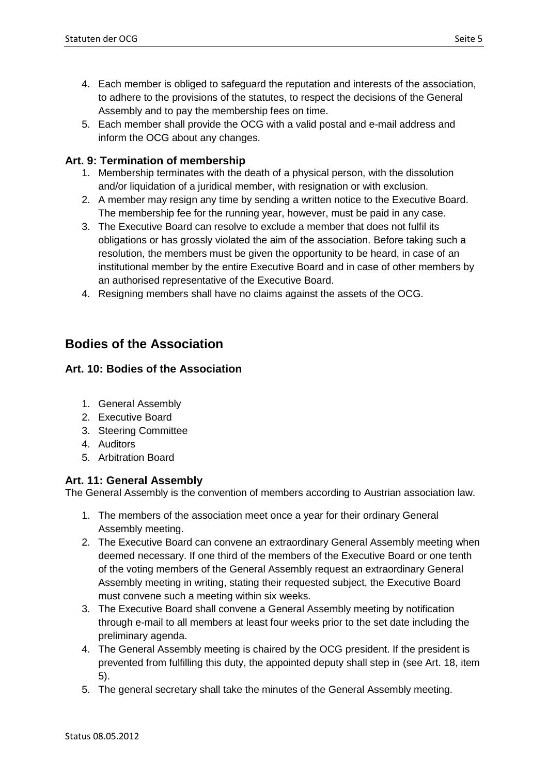- 4. Each member is obliged to safeguard the reputation and interests of the association, to adhere to the provisions of the statutes, to respect the decisions of the General Assembly and to pay the membership fees on time.
- 5. Each member shall provide the OCG with a valid postal and e-mail address and inform the OCG about any changes.

## **Art. 9: Termination of membership**

- 1. Membership terminates with the death of a physical person, with the dissolution and/or liquidation of a juridical member, with resignation or with exclusion.
- 2. A member may resign any time by sending a written notice to the Executive Board. The membership fee for the running year, however, must be paid in any case.
- 3. The Executive Board can resolve to exclude a member that does not fulfil its obligations or has grossly violated the aim of the association. Before taking such a resolution, the members must be given the opportunity to be heard, in case of an institutional member by the entire Executive Board and in case of other members by an authorised representative of the Executive Board.
- 4. Resigning members shall have no claims against the assets of the OCG.

## **Bodies of the Association**

## **Art. 10: Bodies of the Association**

- 1. General Assembly
- 2. Executive Board
- 3. Steering Committee
- 4. Auditors
- 5. Arbitration Board

## **Art. 11: General Assembly**

The General Assembly is the convention of members according to Austrian association law.

- 1. The members of the association meet once a year for their ordinary General Assembly meeting.
- 2. The Executive Board can convene an extraordinary General Assembly meeting when deemed necessary. If one third of the members of the Executive Board or one tenth of the voting members of the General Assembly request an extraordinary General Assembly meeting in writing, stating their requested subject, the Executive Board must convene such a meeting within six weeks.
- 3. The Executive Board shall convene a General Assembly meeting by notification through e-mail to all members at least four weeks prior to the set date including the preliminary agenda.
- 4. The General Assembly meeting is chaired by the OCG president. If the president is prevented from fulfilling this duty, the appointed deputy shall step in (see Art. 18, item 5).
- 5. The general secretary shall take the minutes of the General Assembly meeting.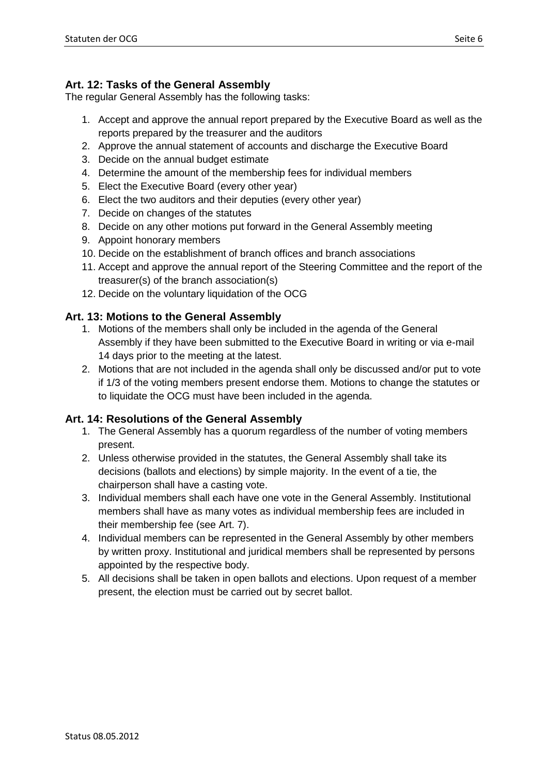## **Art. 12: Tasks of the General Assembly**

The regular General Assembly has the following tasks:

- 1. Accept and approve the annual report prepared by the Executive Board as well as the reports prepared by the treasurer and the auditors
- 2. Approve the annual statement of accounts and discharge the Executive Board
- 3. Decide on the annual budget estimate
- 4. Determine the amount of the membership fees for individual members
- 5. Elect the Executive Board (every other year)
- 6. Elect the two auditors and their deputies (every other year)
- 7. Decide on changes of the statutes
- 8. Decide on any other motions put forward in the General Assembly meeting
- 9. Appoint honorary members
- 10. Decide on the establishment of branch offices and branch associations
- 11. Accept and approve the annual report of the Steering Committee and the report of the treasurer(s) of the branch association(s)
- 12. Decide on the voluntary liquidation of the OCG

## **Art. 13: Motions to the General Assembly**

- 1. Motions of the members shall only be included in the agenda of the General Assembly if they have been submitted to the Executive Board in writing or via e-mail 14 days prior to the meeting at the latest.
- 2. Motions that are not included in the agenda shall only be discussed and/or put to vote if 1/3 of the voting members present endorse them. Motions to change the statutes or to liquidate the OCG must have been included in the agenda.

## **Art. 14: Resolutions of the General Assembly**

- 1. The General Assembly has a quorum regardless of the number of voting members present.
- 2. Unless otherwise provided in the statutes, the General Assembly shall take its decisions (ballots and elections) by simple majority. In the event of a tie, the chairperson shall have a casting vote.
- 3. Individual members shall each have one vote in the General Assembly. Institutional members shall have as many votes as individual membership fees are included in their membership fee (see Art. 7).
- 4. Individual members can be represented in the General Assembly by other members by written proxy. Institutional and juridical members shall be represented by persons appointed by the respective body.
- 5. All decisions shall be taken in open ballots and elections. Upon request of a member present, the election must be carried out by secret ballot.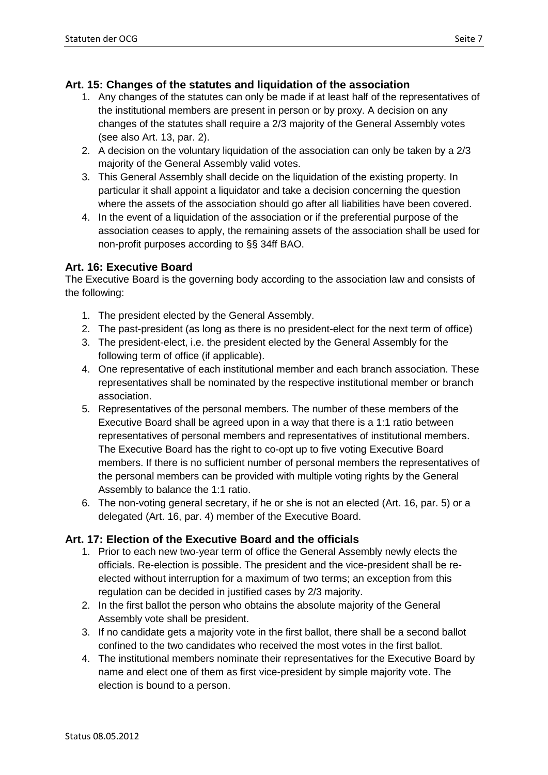## **Art. 15: Changes of the statutes and liquidation of the association**

- 1. Any changes of the statutes can only be made if at least half of the representatives of the institutional members are present in person or by proxy. A decision on any changes of the statutes shall require a 2/3 majority of the General Assembly votes (see also Art. 13, par. 2).
- 2. A decision on the voluntary liquidation of the association can only be taken by a 2/3 majority of the General Assembly valid votes.
- 3. This General Assembly shall decide on the liquidation of the existing property. In particular it shall appoint a liquidator and take a decision concerning the question where the assets of the association should go after all liabilities have been covered.
- 4. In the event of a liquidation of the association or if the preferential purpose of the association ceases to apply, the remaining assets of the association shall be used for non-profit purposes according to §§ 34ff BAO.

## **Art. 16: Executive Board**

The Executive Board is the governing body according to the association law and consists of the following:

- 1. The president elected by the General Assembly.
- 2. The past-president (as long as there is no president-elect for the next term of office)
- 3. The president-elect, i.e. the president elected by the General Assembly for the following term of office (if applicable).
- 4. One representative of each institutional member and each branch association. These representatives shall be nominated by the respective institutional member or branch association.
- 5. Representatives of the personal members. The number of these members of the Executive Board shall be agreed upon in a way that there is a 1:1 ratio between representatives of personal members and representatives of institutional members. The Executive Board has the right to co-opt up to five voting Executive Board members. If there is no sufficient number of personal members the representatives of the personal members can be provided with multiple voting rights by the General Assembly to balance the 1:1 ratio.
- 6. The non-voting general secretary, if he or she is not an elected (Art. 16, par. 5) or a delegated (Art. 16, par. 4) member of the Executive Board.

## **Art. 17: Election of the Executive Board and the officials**

- 1. Prior to each new two-year term of office the General Assembly newly elects the officials. Re-election is possible. The president and the vice-president shall be reelected without interruption for a maximum of two terms; an exception from this regulation can be decided in justified cases by 2/3 majority.
- 2. In the first ballot the person who obtains the absolute majority of the General Assembly vote shall be president.
- 3. If no candidate gets a majority vote in the first ballot, there shall be a second ballot confined to the two candidates who received the most votes in the first ballot.
- 4. The institutional members nominate their representatives for the Executive Board by name and elect one of them as first vice-president by simple majority vote. The election is bound to a person.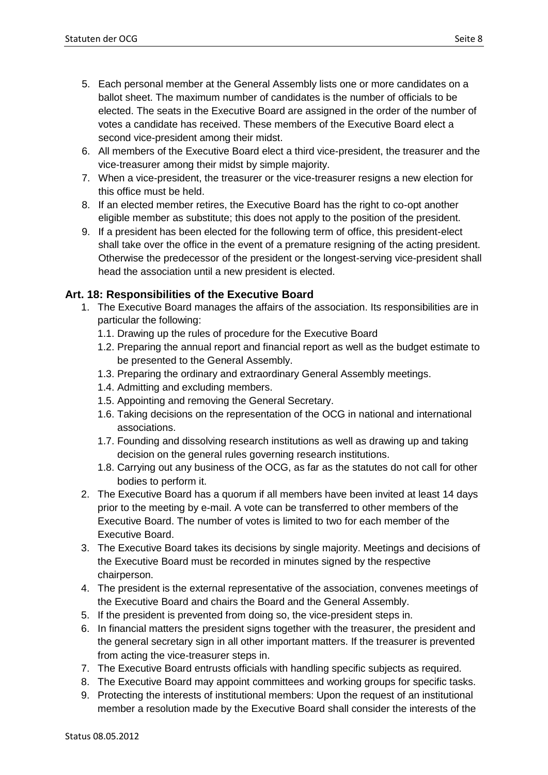- 5. Each personal member at the General Assembly lists one or more candidates on a ballot sheet. The maximum number of candidates is the number of officials to be elected. The seats in the Executive Board are assigned in the order of the number of votes a candidate has received. These members of the Executive Board elect a second vice-president among their midst.
- 6. All members of the Executive Board elect a third vice-president, the treasurer and the vice-treasurer among their midst by simple majority.
- 7. When a vice-president, the treasurer or the vice-treasurer resigns a new election for this office must be held.
- 8. If an elected member retires, the Executive Board has the right to co-opt another eligible member as substitute; this does not apply to the position of the president.
- 9. If a president has been elected for the following term of office, this president-elect shall take over the office in the event of a premature resigning of the acting president. Otherwise the predecessor of the president or the longest-serving vice-president shall head the association until a new president is elected.

## **Art. 18: Responsibilities of the Executive Board**

- 1. The Executive Board manages the affairs of the association. Its responsibilities are in particular the following:
	- 1.1. Drawing up the rules of procedure for the Executive Board
	- 1.2. Preparing the annual report and financial report as well as the budget estimate to be presented to the General Assembly.
	- 1.3. Preparing the ordinary and extraordinary General Assembly meetings.
	- 1.4. Admitting and excluding members.
	- 1.5. Appointing and removing the General Secretary.
	- 1.6. Taking decisions on the representation of the OCG in national and international associations.
	- 1.7. Founding and dissolving research institutions as well as drawing up and taking decision on the general rules governing research institutions.
	- 1.8. Carrying out any business of the OCG, as far as the statutes do not call for other bodies to perform it.
- 2. The Executive Board has a quorum if all members have been invited at least 14 days prior to the meeting by e-mail. A vote can be transferred to other members of the Executive Board. The number of votes is limited to two for each member of the Executive Board.
- 3. The Executive Board takes its decisions by single majority. Meetings and decisions of the Executive Board must be recorded in minutes signed by the respective chairperson.
- 4. The president is the external representative of the association, convenes meetings of the Executive Board and chairs the Board and the General Assembly.
- 5. If the president is prevented from doing so, the vice-president steps in.
- 6. In financial matters the president signs together with the treasurer, the president and the general secretary sign in all other important matters. If the treasurer is prevented from acting the vice-treasurer steps in.
- 7. The Executive Board entrusts officials with handling specific subjects as required.
- 8. The Executive Board may appoint committees and working groups for specific tasks.
- 9. Protecting the interests of institutional members: Upon the request of an institutional member a resolution made by the Executive Board shall consider the interests of the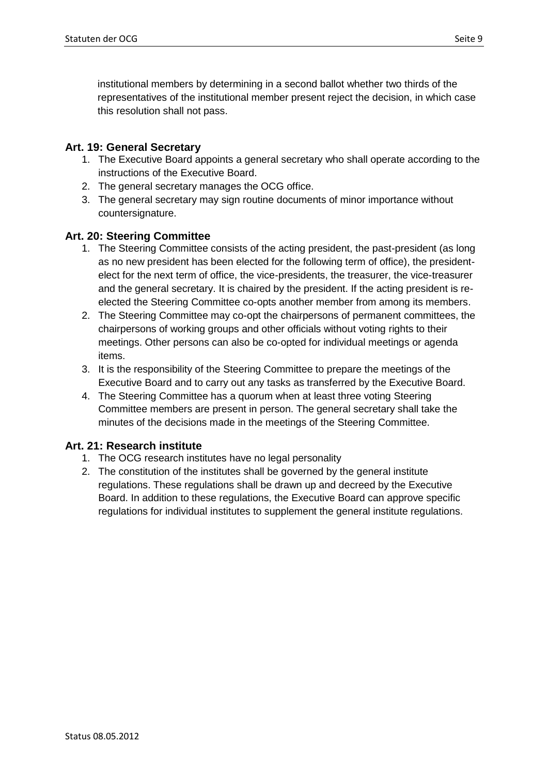institutional members by determining in a second ballot whether two thirds of the representatives of the institutional member present reject the decision, in which case this resolution shall not pass.

## **Art. 19: General Secretary**

- 1. The Executive Board appoints a general secretary who shall operate according to the instructions of the Executive Board.
- 2. The general secretary manages the OCG office.
- 3. The general secretary may sign routine documents of minor importance without countersignature.

## **Art. 20: Steering Committee**

- 1. The Steering Committee consists of the acting president, the past-president (as long as no new president has been elected for the following term of office), the presidentelect for the next term of office, the vice-presidents, the treasurer, the vice-treasurer and the general secretary. It is chaired by the president. If the acting president is reelected the Steering Committee co-opts another member from among its members.
- 2. The Steering Committee may co-opt the chairpersons of permanent committees, the chairpersons of working groups and other officials without voting rights to their meetings. Other persons can also be co-opted for individual meetings or agenda items.
- 3. It is the responsibility of the Steering Committee to prepare the meetings of the Executive Board and to carry out any tasks as transferred by the Executive Board.
- 4. The Steering Committee has a quorum when at least three voting Steering Committee members are present in person. The general secretary shall take the minutes of the decisions made in the meetings of the Steering Committee.

## **Art. 21: Research institute**

- 1. The OCG research institutes have no legal personality
- 2. The constitution of the institutes shall be governed by the general institute regulations. These regulations shall be drawn up and decreed by the Executive Board. In addition to these regulations, the Executive Board can approve specific regulations for individual institutes to supplement the general institute regulations.